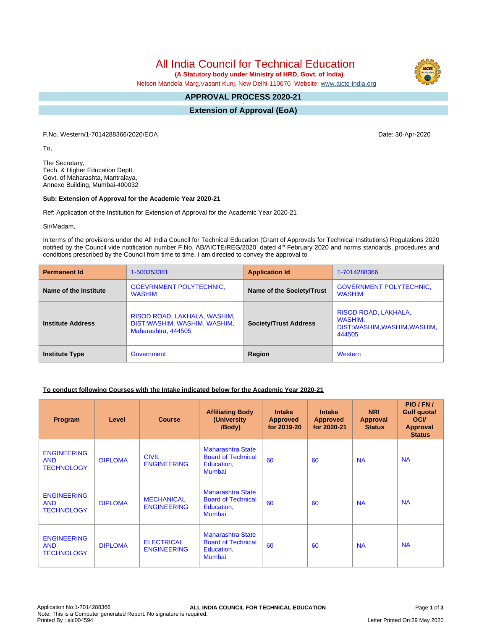All India Council for Technical Education

 **(A Statutory body under Ministry of HRD, Govt. of India)**

Nelson Mandela Marg,Vasant Kunj, New Delhi-110070 Website: [www.aicte-india.org](http://www.aicte-india.org)

#### **APPROVAL PROCESS 2020-21 -**

**Extension of Approval (EoA)**

F.No. Western/1-7014288366/2020/EOA Date: 30-Apr-2020

To,

The Secretary, Tech. & Higher Education Deptt. Govt. of Maharashta, Mantralaya, Annexe Building, Mumbai-400032

### **Sub: Extension of Approval for the Academic Year 2020-21**

Ref: Application of the Institution for Extension of Approval for the Academic Year 2020-21

Sir/Madam,

In terms of the provisions under the All India Council for Technical Education (Grant of Approvals for Technical Institutions) Regulations 2020 notified by the Council vide notification number F.No. AB/AICTE/REG/2020 dated 4<sup>th</sup> February 2020 and norms standards, procedures and conditions prescribed by the Council from time to time, I am directed to convey the approval to

| <b>Permanent Id</b>      | 1-500353381                                                                         | <b>Application Id</b>        | 1-7014288366                                                             |  |
|--------------------------|-------------------------------------------------------------------------------------|------------------------------|--------------------------------------------------------------------------|--|
| Name of the Institute    | <b>GOEVRNMENT POLYTECHNIC.</b><br><b>WASHIM</b>                                     | Name of the Society/Trust    | <b>GOVERNMENT POLYTECHNIC,</b><br><b>WASHIM</b>                          |  |
| <b>Institute Address</b> | RISOD ROAD, LAKHALA, WASHIM,<br>DIST:WASHIM, WASHIM, WASHIM,<br>Maharashtra, 444505 | <b>Society/Trust Address</b> | RISOD ROAD, LAKHALA,<br>WASHIM.<br>DIST:WASHIM,WASHIM,WASHIM,,<br>444505 |  |
| <b>Institute Type</b>    | Government                                                                          | Region                       | Western                                                                  |  |

# **To conduct following Courses with the Intake indicated below for the Academic Year 2020-21**

| Program                                               | Level          | <b>Course</b>                           | <b>Affiliating Body</b><br>(University)<br>/Body)                                    | <b>Intake</b><br><b>Approved</b><br>for 2019-20 | <b>Intake</b><br><b>Approved</b><br>for 2020-21 | <b>NRI</b><br>Approval<br><b>Status</b> | PIO/FN/<br>Gulf quota/<br><b>OCI</b><br><b>Approval</b><br><b>Status</b> |
|-------------------------------------------------------|----------------|-----------------------------------------|--------------------------------------------------------------------------------------|-------------------------------------------------|-------------------------------------------------|-----------------------------------------|--------------------------------------------------------------------------|
| <b>ENGINEERING</b><br><b>AND</b><br><b>TECHNOLOGY</b> | <b>DIPLOMA</b> | <b>CIVIL</b><br><b>ENGINEERING</b>      | <b>Maharashtra State</b><br><b>Board of Technical</b><br>Education,<br><b>Mumbai</b> | 60                                              | 60                                              | <b>NA</b>                               | <b>NA</b>                                                                |
| <b>ENGINEERING</b><br><b>AND</b><br><b>TECHNOLOGY</b> | <b>DIPLOMA</b> | <b>MECHANICAL</b><br><b>ENGINEERING</b> | <b>Maharashtra State</b><br><b>Board of Technical</b><br>Education,<br><b>Mumbai</b> | 60                                              | 60                                              | <b>NA</b>                               | <b>NA</b>                                                                |
| <b>ENGINEERING</b><br><b>AND</b><br><b>TECHNOLOGY</b> | <b>DIPLOMA</b> | <b>ELECTRICAL</b><br><b>ENGINEERING</b> | <b>Maharashtra State</b><br><b>Board of Technical</b><br>Education,<br><b>Mumbai</b> | 60                                              | 60                                              | <b>NA</b>                               | <b>NA</b>                                                                |

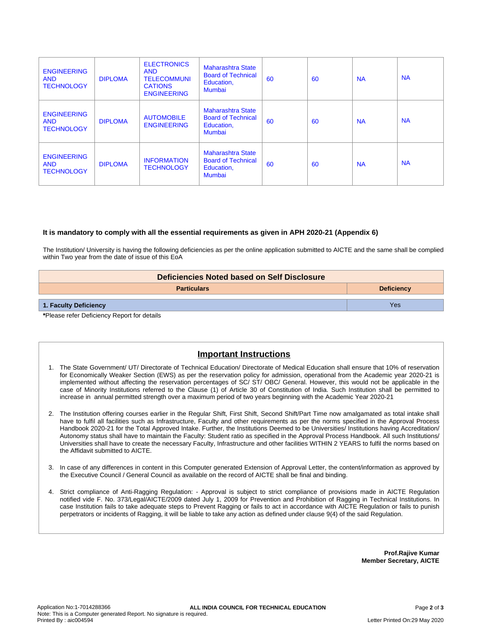| <b>ENGINEERING</b><br><b>AND</b><br><b>TECHNOLOGY</b> | <b>DIPLOMA</b> | <b>ELECTRONICS</b><br><b>AND</b><br><b>TELECOMMUNI</b><br><b>CATIONS</b><br><b>ENGINEERING</b> | <b>Maharashtra State</b><br><b>Board of Technical</b><br>Education,<br>Mumbai | 60 | 60 | <b>NA</b> | <b>NA</b> |
|-------------------------------------------------------|----------------|------------------------------------------------------------------------------------------------|-------------------------------------------------------------------------------|----|----|-----------|-----------|
| <b>ENGINEERING</b><br><b>AND</b><br><b>TECHNOLOGY</b> | <b>DIPLOMA</b> | <b>AUTOMOBILE</b><br><b>ENGINEERING</b>                                                        | Maharashtra State<br><b>Board of Technical</b><br>Education,<br>Mumbai        | 60 | 60 | <b>NA</b> | <b>NA</b> |
| <b>ENGINEERING</b><br><b>AND</b><br><b>TECHNOLOGY</b> | <b>DIPLOMA</b> | <b>INFORMATION</b><br><b>TECHNOLOGY</b>                                                        | Maharashtra State<br><b>Board of Technical</b><br>Education,<br><b>Mumbai</b> | 60 | 60 | <b>NA</b> | <b>NA</b> |

## **It is mandatory to comply with all the essential requirements as given in APH 2020-21 (Appendix 6)**

The Institution/ University is having the following deficiencies as per the online application submitted to AICTE and the same shall be complied within Two year from the date of issue of this EoA

| Deficiencies Noted based on Self Disclosure |                   |  |  |
|---------------------------------------------|-------------------|--|--|
| <b>Particulars</b>                          | <b>Deficiency</b> |  |  |
| 1. Faculty Deficiency                       | Yes               |  |  |
| *Dlogge refer Deficiency Denort for details |                   |  |  |

**\***Please refer Deficiency Report for details

# **Important Instructions**

- 1. The State Government/ UT/ Directorate of Technical Education/ Directorate of Medical Education shall ensure that 10% of reservation for Economically Weaker Section (EWS) as per the reservation policy for admission, operational from the Academic year 2020-21 is implemented without affecting the reservation percentages of SC/ ST/ OBC/ General. However, this would not be applicable in the case of Minority Institutions referred to the Clause (1) of Article 30 of Constitution of India. Such Institution shall be permitted to increase in annual permitted strength over a maximum period of two years beginning with the Academic Year 2020-21
- 2. The Institution offering courses earlier in the Regular Shift, First Shift, Second Shift/Part Time now amalgamated as total intake shall have to fulfil all facilities such as Infrastructure, Faculty and other requirements as per the norms specified in the Approval Process Handbook 2020-21 for the Total Approved Intake. Further, the Institutions Deemed to be Universities/ Institutions having Accreditation/ Autonomy status shall have to maintain the Faculty: Student ratio as specified in the Approval Process Handbook. All such Institutions/ Universities shall have to create the necessary Faculty, Infrastructure and other facilities WITHIN 2 YEARS to fulfil the norms based on the Affidavit submitted to AICTE.
- 3. In case of any differences in content in this Computer generated Extension of Approval Letter, the content/information as approved by the Executive Council / General Council as available on the record of AICTE shall be final and binding.
- 4. Strict compliance of Anti-Ragging Regulation: Approval is subject to strict compliance of provisions made in AICTE Regulation notified vide F. No. 373/Legal/AICTE/2009 dated July 1, 2009 for Prevention and Prohibition of Ragging in Technical Institutions. In case Institution fails to take adequate steps to Prevent Ragging or fails to act in accordance with AICTE Regulation or fails to punish perpetrators or incidents of Ragging, it will be liable to take any action as defined under clause 9(4) of the said Regulation.

**Prof.Rajive Kumar Member Secretary, AICTE**